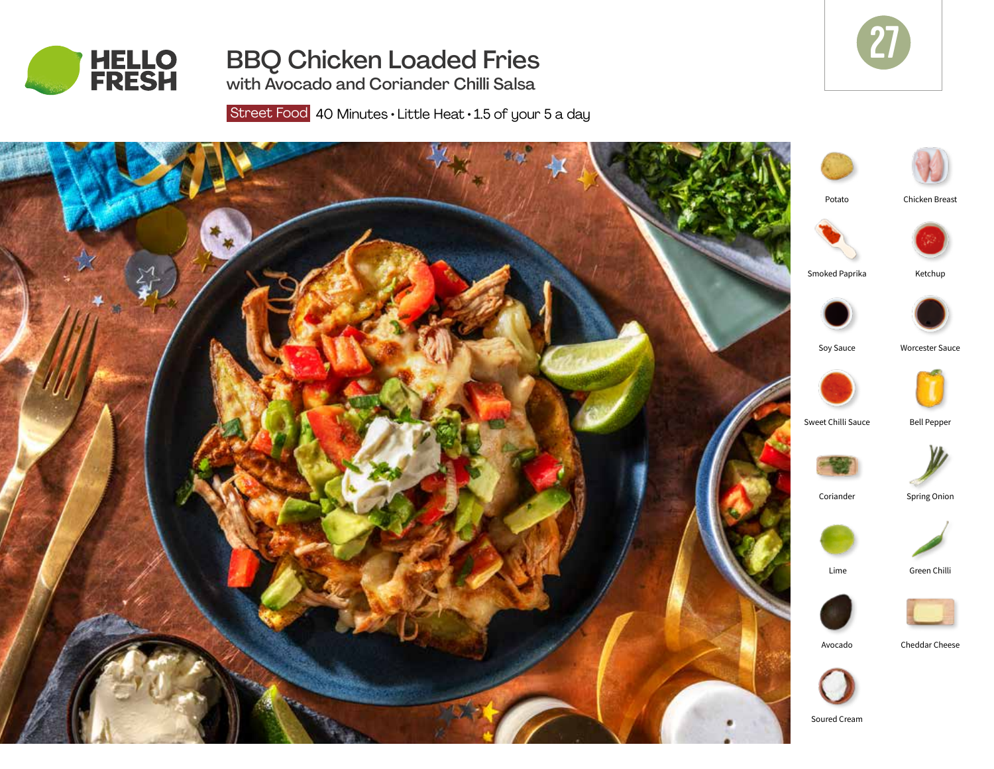

# BBQ Chicken Loaded Fries with Avocado and Coriander Chilli Salsa

27

Street Food 40 Minutes  $\cdot$  Little Heat  $\cdot$  1.5 of your 5 a day